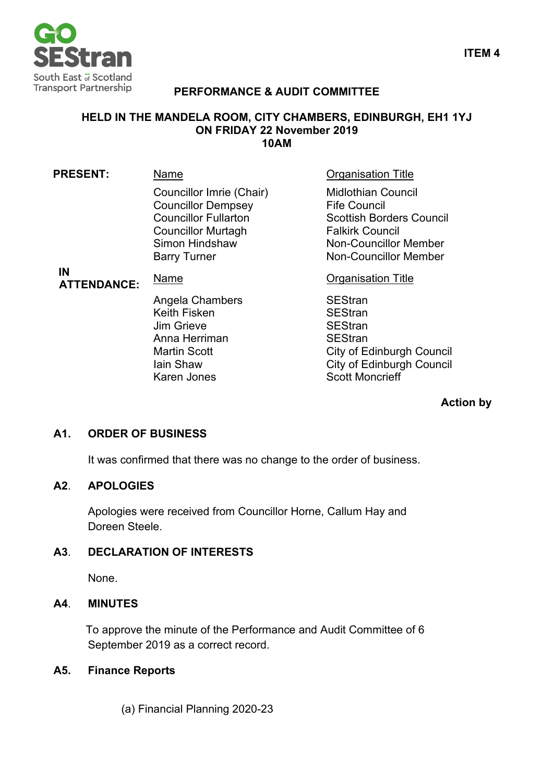

# **PERFORMANCE & AUDIT COMMITTEE**

## **HELD IN THE MANDELA ROOM, CITY CHAMBERS, EDINBURGH, EH1 1YJ ON FRIDAY 22 November 2019 10AM**

| <b>PRESENT:</b>          | Name                                                                                                                                                       | <b>Organisation Title</b>                                                                                                                                                     |
|--------------------------|------------------------------------------------------------------------------------------------------------------------------------------------------------|-------------------------------------------------------------------------------------------------------------------------------------------------------------------------------|
| IN<br><b>ATTENDANCE:</b> | Councillor Imrie (Chair)<br><b>Councillor Dempsey</b><br><b>Councillor Fullarton</b><br><b>Councillor Murtagh</b><br>Simon Hindshaw<br><b>Barry Turner</b> | <b>Midlothian Council</b><br><b>Fife Council</b><br><b>Scottish Borders Council</b><br><b>Falkirk Council</b><br><b>Non-Councillor Member</b><br><b>Non-Councillor Member</b> |
|                          | Name                                                                                                                                                       | <b>Organisation Title</b>                                                                                                                                                     |
|                          | Angela Chambers<br><b>Keith Fisken</b><br>Jim Grieve<br>Anna Herriman<br><b>Martin Scott</b><br>lain Shaw<br>Karen Jones                                   | <b>SEStran</b><br><b>SEStran</b><br><b>SEStran</b><br><b>SEStran</b><br><b>City of Edinburgh Council</b><br><b>City of Edinburgh Council</b><br><b>Scott Moncrieff</b>        |

## **Action by**

# **A1. ORDER OF BUSINESS**

It was confirmed that there was no change to the order of business.

## **A2**. **APOLOGIES**

Apologies were received from Councillor Horne, Callum Hay and Doreen Steele.

## **A3**. **DECLARATION OF INTERESTS**

None.

## **A4**. **MINUTES**

To approve the minute of the Performance and Audit Committee of 6 September 2019 as a correct record.

## **A5. Finance Reports**

(a) Financial Planning 2020-23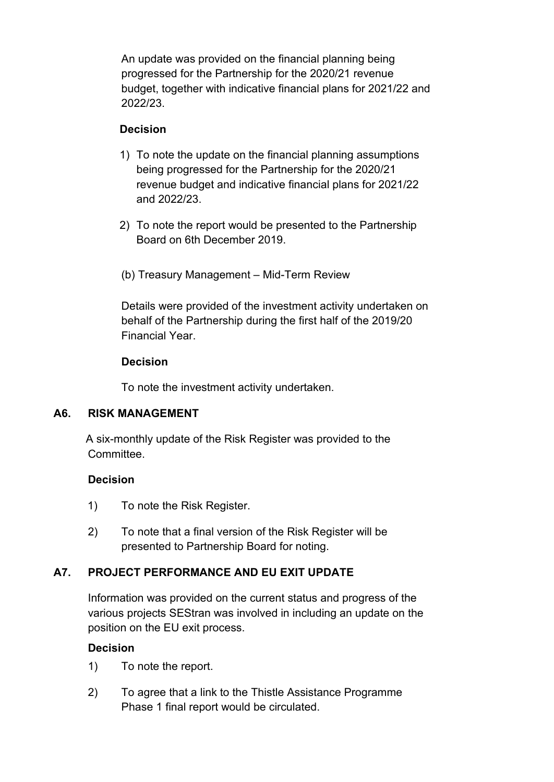An update was provided on the financial planning being progressed for the Partnership for the 2020/21 revenue budget, together with indicative financial plans for 2021/22 and 2022/23.

## **Decision**

- 1) To note the update on the financial planning assumptions being progressed for the Partnership for the 2020/21 revenue budget and indicative financial plans for 2021/22 and 2022/23.
- 2) To note the report would be presented to the Partnership Board on 6th December 2019.
- (b) Treasury Management Mid-Term Review

Details were provided of the investment activity undertaken on behalf of the Partnership during the first half of the 2019/20 Financial Year.

## **Decision**

To note the investment activity undertaken.

# **A6. RISK MANAGEMENT**

A six-monthly update of the Risk Register was provided to the **Committee.** 

# **Decision**

- 1) To note the Risk Register.
- 2) To note that a final version of the Risk Register will be presented to Partnership Board for noting.

# **A7. PROJECT PERFORMANCE AND EU EXIT UPDATE**

Information was provided on the current status and progress of the various projects SEStran was involved in including an update on the position on the EU exit process.

# **Decision**

- 1) To note the report.
- 2) To agree that a link to the Thistle Assistance Programme Phase 1 final report would be circulated.